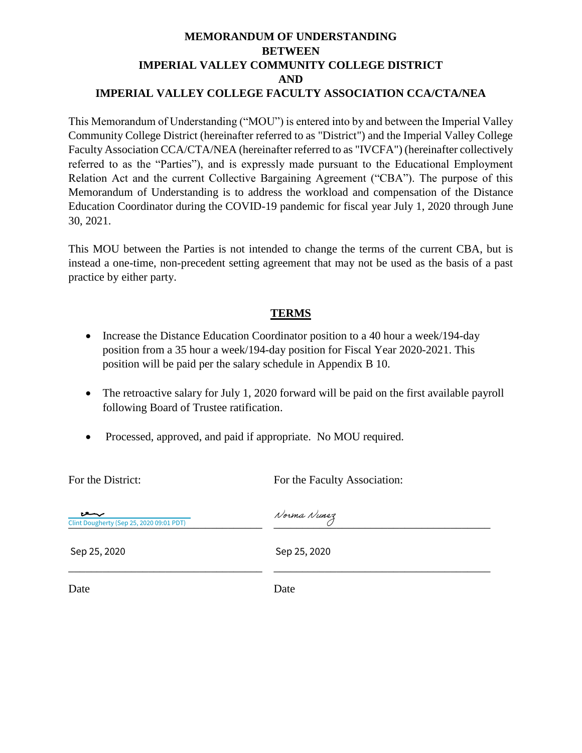### **MEMORANDUM OF UNDERSTANDING BETWEEN IMPERIAL VALLEY COMMUNITY COLLEGE DISTRICT AND IMPERIAL VALLEY COLLEGE FACULTY ASSOCIATION CCA/CTA/NEA**

This Memorandum of Understanding ("MOU") is entered into by and between the Imperial Valley Community College District (hereinafter referred to as "District") and the Imperial Valley College Faculty Association CCA/CTA/NEA (hereinafter referred to as "IVCFA") (hereinafter collectively referred to as the "Parties"), and is expressly made pursuant to the Educational Employment Relation Act and the current Collective Bargaining Agreement ("CBA"). The purpose of this Memorandum of Understanding is to address the workload and compensation of the Distance Education Coordinator during the COVID-19 pandemic for fiscal year July 1, 2020 through June 30, 2021.

This MOU between the Parties is not intended to change the terms of the current CBA, but is instead a one-time, non-precedent setting agreement that may not be used as the basis of a past practice by either party.

### **TERMS**

- Increase the Distance Education Coordinator position to a 40 hour a week/194-day position from a 35 hour a week/194-day position for Fiscal Year 2020-2021. This position will be paid per the salary schedule in Appendix B 10.
- The retroactive salary for July 1, 2020 forward will be paid on the first available payroll following Board of Trustee ratification.
- Processed, approved, and paid if appropriate. No MOU required.

For the District: For the Faculty Association:

| ىبسعا<br>Clint Dougherty (Sep 25, 2020 09:01 PDT) | Norma Nunez  |
|---------------------------------------------------|--------------|
| Sep 25, 2020                                      | Sep 25, 2020 |
| Date                                              | Date         |